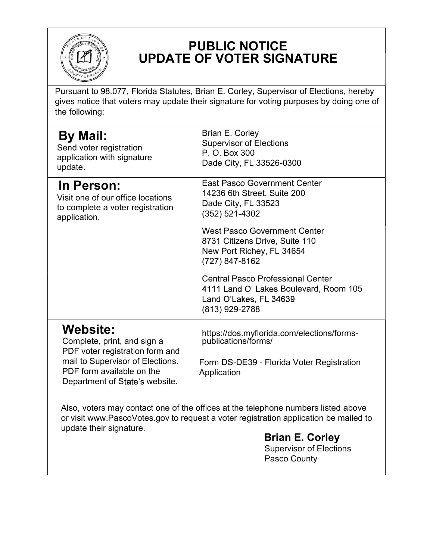

## PUBLIC NOTICE UPDATE OF VOTER SIGNATURE

Pursuant to 98.077, Florida Statutes, Brian E. Corley, Supervisor of Elections, hereby gives notice that voters may update their signature for voting purposes by doing one of the following:

| <b>By Mail:</b><br>Send voter registration<br>application with signature<br>update.                                                                                                  | Brian E. Corley<br><b>Supervisor of Elections</b><br>P. O. Box 300<br>Dade City, FL 33526-0300                                 |
|--------------------------------------------------------------------------------------------------------------------------------------------------------------------------------------|--------------------------------------------------------------------------------------------------------------------------------|
| In Person:<br>Visit one of our office locations<br>to complete a voter registration<br>application.                                                                                  | <b>East Pasco Government Center</b><br>14236 6th Street, Suite 200<br>Dade City, FL 33523<br>(352) 521-4302                    |
|                                                                                                                                                                                      | <b>West Pasco Government Center</b><br>8731 Citizens Drive, Suite 110<br>New Port Richey, FL 34654<br>(727) 847-8162           |
|                                                                                                                                                                                      | <b>Central Pasco Professional Center</b><br>4111 Land O' Lakes Boulevard, Room 105<br>Land O'Lakes, FL 34639<br>(813) 929-2788 |
| <b>Website:</b><br>Complete, print, and sign a<br>PDF voter registration form and<br>mail to Supervisor of Elections.<br>PDF form available on the<br>Department of State's website. | https://dos.myflorida.com/elections/forms-<br>publications/forms/                                                              |
|                                                                                                                                                                                      | Form DS-DE39 - Florida Voter Registration<br>Application                                                                       |
| Also, voters may contact one of the offices at the telephone numbers listed above<br>or visit www.PascoVotes.gov to request a voter registration application be mailed to            |                                                                                                                                |
| update their signature.                                                                                                                                                              | <b>Brian E. Corley</b><br><b>Supervisor of Elections</b><br>Pasco County                                                       |